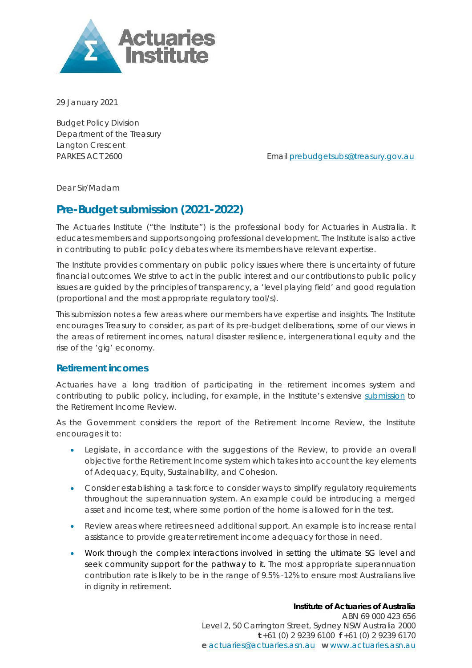

29 January 2021

Budget Policy Division Department of the Treasury Langton Crescent

PARKES ACT 2600 **Email [prebudgetsubs@treasury.gov.au](mailto:prebudgetsubs@treasury.gov.au)** 

Dear Sir/Madam

# **Pre-Budget submission (2021-2022)**

The Actuaries Institute ("the Institute") is the professional body for Actuaries in Australia. It educates members and supports ongoing professional development. The Institute is also active in contributing to public policy debates where its members have relevant expertise.

The Institute provides commentary on public policy issues where there is uncertainty of future financial outcomes. We strive to act in the public interest and our contributions to public policy issues are guided by the principles of transparency, a 'level playing field' and good regulation (proportional and the most appropriate regulatory tool/s).

This submission notes a few areas where our members have expertise and insights. The Institute encourages Treasury to consider, as part of its pre-budget deliberations, some of our views in the areas of retirement incomes, natural disaster resilience, intergenerational equity and the rise of the 'gig' economy.

## **Retirement incomes**

Actuaries have a long tradition of participating in the retirement incomes system and contributing to public policy, including, for example, in the Institute's extensive [submission](https://actuaries.asn.au/Library/Submissions/2020/retirementreview.pdf) to the Retirement Income Review.

As the Government considers the report of the Retirement Income Review, the Institute encourages it to:

- Legislate, in accordance with the suggestions of the Review, to provide an overall objective for the Retirement Income system which takes into account the key elements of Adequacy, Equity, Sustainability, and Cohesion.
- Consider establishing a task force to consider ways to simplify regulatory requirements throughout the superannuation system. An example could be introducing a merged asset and income test, where some portion of the home is allowed for in the test.
- Review areas where retirees need additional support. An example is to increase rental assistance to provide greater retirement income adequacy for those in need.
- Work through the complex interactions involved in setting the ultimate SG level and seek community support for the pathway to it. The most appropriate superannuation contribution rate is likely to be in the range of 9.5% -12% to ensure most Australians live in dignity in retirement.

### **Institute of Actuaries of Australia**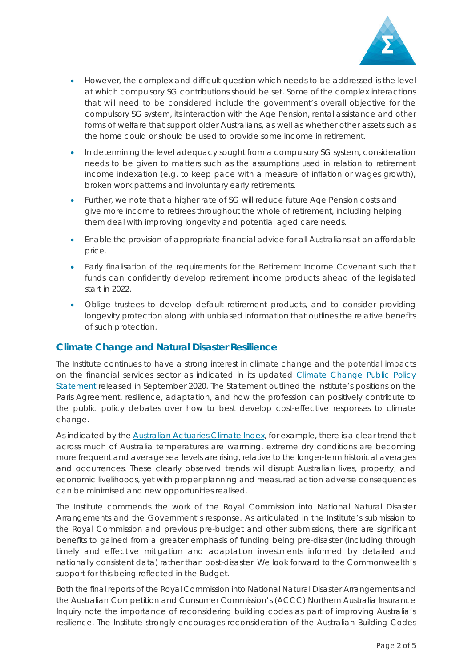

- However, the complex and difficult question which needs to be addressed is the level at which compulsory SG contributions should be set. Some of the complex interactions that will need to be considered include the government's overall objective for the compulsory SG system, its interaction with the Age Pension, rental assistance and other forms of welfare that support older Australians, as well as whether other assets such as the home could or should be used to provide some income in retirement.
- In determining the level adequacy sought from a compulsory SG system, consideration needs to be given to matters such as the assumptions used in relation to retirement income indexation (e.g. to keep pace with a measure of inflation or wages growth), broken work patterns and involuntary early retirements.
- Further, we note that a higher rate of SG will reduce future Age Pension costs and give more income to retirees throughout the whole of retirement, including helping them deal with improving longevity and potential aged care needs.
- Enable the provision of appropriate financial advice for all Australians at an affordable price.
- Early finalisation of the requirements for the Retirement Income Covenant such that funds can confidently develop retirement income products ahead of the legislated start in 2022.
- Oblige trustees to develop default retirement products, and to consider providing longevity protection along with unbiased information that outlines the relative benefits of such protection.

## **Climate Change and Natural Disaster Resilience**

The Institute continues to have a strong interest in climate change and the potential impacts on the financial services sector as indicated in its updated [Climate Change Public Policy](https://actuaries.logicaldoc.cloud/download-ticket?ticketId=70ad04a5-0cc6-4b01-9136-467a16910488)  [Statement](https://actuaries.logicaldoc.cloud/download-ticket?ticketId=70ad04a5-0cc6-4b01-9136-467a16910488) released in September 2020. The Statement outlined the Institute's positions on the Paris Agreement, resilience, adaptation, and how the profession can positively contribute to the public policy debates over how to best develop cost-effective responses to climate change.

As indicated by the [Australian Actuaries Climate Index,](https://www.actuaries.asn.au/microsites/climate-index/explore/component-graphs) for example, there is a clear trend that across much of Australia temperatures are warming, extreme dry conditions are becoming more frequent and average sea levels are rising, relative to the longer-term historical averages and occurrences. These clearly observed trends will disrupt Australian lives, property, and economic livelihoods, yet with proper planning and measured action adverse consequences can be minimised and new opportunities realised.

The Institute commends the work of the Royal Commission into National Natural Disaster Arrangements and the Government's response. As articulated in the Institute's submission to the Royal Commission and previous pre-budget and other submissions, there are significant benefits to gained from a greater emphasis of funding being pre-disaster (including through timely and effective mitigation and adaptation investments informed by detailed and nationally consistent data) rather than post-disaster. We look forward to the Commonwealth's support for this being reflected in the Budget.

Both the final reports of the Royal Commission into National Natural Disaster Arrangements and the Australian Competition and Consumer Commission's (ACCC) Northern Australia Insurance Inquiry note the importance of reconsidering building codes as part of improving Australia's resilience. The Institute strongly encourages reconsideration of the Australian Building Codes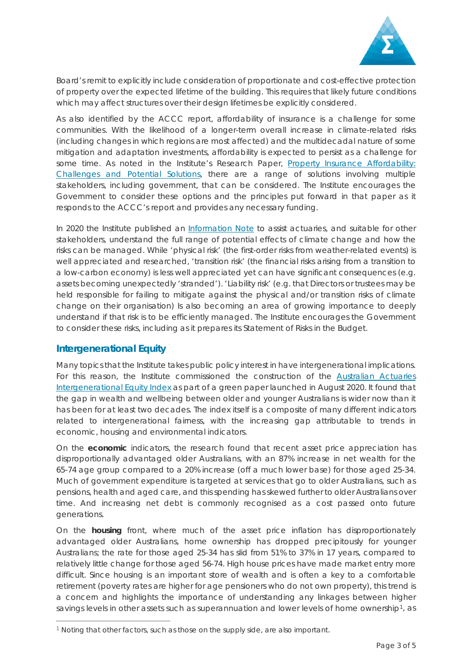

Board's remit to explicitly include consideration of proportionate and cost-effective protection of property over the expected lifetime of the building. This requires that likely future conditions which may affect structures over their design lifetimes be explicitly considered.

As also identified by the ACCC report, affordability of insurance is a challenge for some communities. With the likelihood of a longer-term overall increase in climate-related risks (including changes in which regions are most affected) and the multidecadal nature of some mitigation and adaptation investments, affordability is expected to persist as a challenge for some time. As noted in the Institute's Research Paper, *[Property Insurance Affordability:](https://actuaries.asn.au/Library/Miscellaneous/2020/GIRESEARCHPAPER.pdf)  [Challenges and Potential Solutions](https://actuaries.asn.au/Library/Miscellaneous/2020/GIRESEARCHPAPER.pdf)*, there are a range of solutions involving multiple stakeholders, including government, that can be considered. The Institute encourages the Government to consider these options and the principles put forward in that paper as it responds to the ACCC's report and provides any necessary funding.

In 2020 the Institute published an [Information Note](https://www.actuaries.asn.au/Library/Standards/MultiPractice/2020/INCCFinal121120.pdf) to assist actuaries, and suitable for other stakeholders, understand the full range of potential effects of climate change and how the risks can be managed. While 'physical risk' (the first-order risks from weather-related events) is well appreciated and researched, 'transition risk' (the financial risks arising from a transition to a low-carbon economy) is less well appreciated yet can have significant consequences (e.g. assets becoming unexpectedly 'stranded'). 'Liability risk' (e.g. that Directors or trustees may be held responsible for failing to mitigate against the physical and/or transition risks of climate change on their organisation) Is also becoming an area of growing importance to deeply understand if that risk is to be efficiently managed. The Institute encourages the Government to consider these risks, including as it prepares its Statement of Risks in the Budget.

## **Intergenerational Equity**

Many topics that the Institute takes public policy interest in have intergenerational implications. For this reason, the Institute commissioned the construction of the [Australian Actuaries](https://www.actuaries.asn.au/Library/Opinion/2020/AAIEIIGreenPaper170820.pdf)  [Intergenerational Equity Index](https://www.actuaries.asn.au/Library/Opinion/2020/AAIEIIGreenPaper170820.pdf) as part of a green paper launched in August 2020. It found that the gap in wealth and wellbeing between older and younger Australians is wider now than it has been for at least two decades. The index itself is a composite of many different indicators related to intergenerational fairness, with the increasing gap attributable to trends in economic, housing and environmental indicators.

On the **economic** indicators, the research found that recent asset price appreciation has disproportionally advantaged older Australians, with an 87% increase in net wealth for the 65-74 age group compared to a 20% increase (off a much lower base) for those aged 25-34. Much of government expenditure is targeted at services that go to older Australians, such as pensions, health and aged care, and this spending has skewed further to older Australians over time. And increasing net debt is commonly recognised as a cost passed onto future generations.

On the **housing** front, where much of the asset price inflation has disproportionately advantaged older Australians, home ownership has dropped precipitously for younger Australians; the rate for those aged 25-34 has slid from 51% to 37% in 17 years, compared to relatively little change for those aged 56-74. High house prices have made market entry more difficult. Since housing is an important store of wealth and is often a key to a comfortable retirement (poverty rates are higher for age pensioners who do not own property), this trend is a concern and highlights the importance of understanding any linkages between higher savings levels in other assets such as superannuation and lower levels of home ownership<sup>1</sup>, as

<span id="page-2-0"></span><sup>1</sup> Noting that other factors, such as those on the supply side, are also important.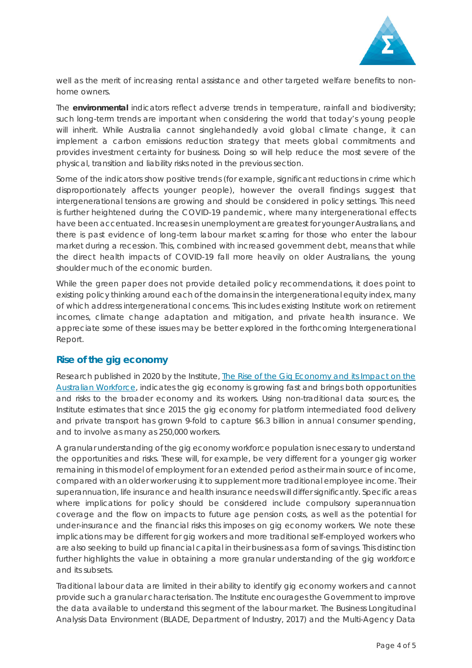

well as the merit of increasing rental assistance and other targeted welfare benefits to nonhome owners.

The **environmental** indicators reflect adverse trends in temperature, rainfall and biodiversity; such long-term trends are important when considering the world that today's young people will inherit. While Australia cannot singlehandedly avoid global climate change, it can implement a carbon emissions reduction strategy that meets global commitments and provides investment certainty for business. Doing so will help reduce the most severe of the physical, transition and liability risks noted in the previous section.

Some of the indicators show positive trends (for example, significant reductions in crime which disproportionately affects younger people), however the overall findings suggest that intergenerational tensions are growing and should be considered in policy settings. This need is further heightened during the COVID-19 pandemic, where many intergenerational effects have been accentuated. Increases in unemployment are greatest for younger Australians, and there is past evidence of long-term labour market scarring for those who enter the labour market during a recession. This, combined with increased government debt, means that while the direct health impacts of COVID-19 fall more heavily on older Australians, the young shoulder much of the economic burden.

While the green paper does not provide detailed policy recommendations, it does point to existing policy thinking around each of the domains in the intergenerational equity index, many of which address intergenerational concerns. This includes existing Institute work on retirement incomes, climate change adaptation and mitigation, and private health insurance. We appreciate some of these issues may be better explored in the forthcoming Intergenerational Report.

## **Rise of the gig economy**

Research published in 2020 by the Institute, *[The Rise of the Gig Economy and its Impact on the](https://actuaries.asn.au/Library/Opinion/2020/GPGIGECONOMYWEBtest.pdf)  [Australian Workforce](https://actuaries.asn.au/Library/Opinion/2020/GPGIGECONOMYWEBtest.pdf)*, indicates the gig economy is growing fast and brings both opportunities and risks to the broader economy and its workers. Using non-traditional data sources, the Institute estimates that since 2015 the gig economy for platform intermediated food delivery and private transport has grown 9-fold to capture \$6.3 billion in annual consumer spending, and to involve as many as 250,000 workers.

A granular understanding of the gig economy workforce population is necessary to understand the opportunities and risks. These will, for example, be very different for a younger gig worker remaining in this model of employment for an extended period as their main source of income, compared with an older worker using it to supplement more traditional employee income. Their superannuation, life insurance and health insurance needs will differ significantly. Specific areas where implications for policy should be considered include compulsory superannuation coverage and the flow on impacts to future age pension costs, as well as the potential for under-insurance and the financial risks this imposes on gig economy workers. We note these implications may be different for gig workers and more traditional self-employed workers who are also seeking to build up financial capital in their business as a form of savings. This distinction further highlights the value in obtaining a more granular understanding of the gig workforce and its subsets.

Traditional labour data are limited in their ability to identify gig economy workers and cannot provide such a granular characterisation. The Institute encourages the Government to improve the data available to understand this segment of the labour market. The Business Longitudinal Analysis Data Environment (BLADE, Department of Industry, 2017) and the Multi-Agency Data